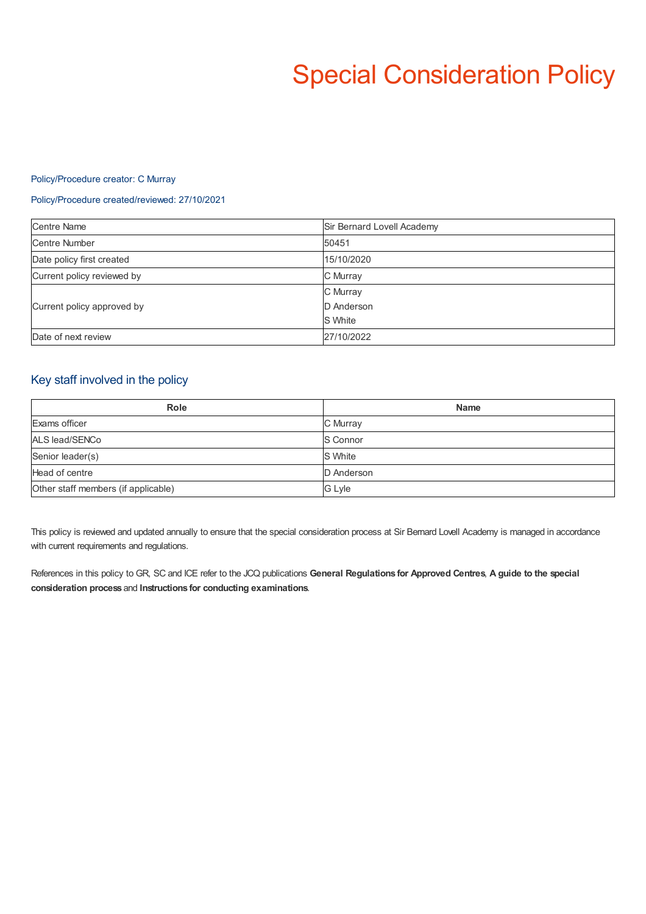# Special Consideration Policy

### Policy/Procedure creator: C Murray

### Policy/Procedure created/reviewed: 27/10/2021

| <b>Centre Name</b>         | Sir Bernard Lovell Academy |
|----------------------------|----------------------------|
| <b>Centre Number</b>       | 50451                      |
| Date policy first created  | 15/10/2020                 |
| Current policy reviewed by | C Murray                   |
| Current policy approved by | C Murray                   |
|                            | D Anderson                 |
|                            | S White                    |
| Date of next review        | 27/10/2022                 |

## Key staff involved in the policy

| <b>Role</b>                         | <b>Name</b> |
|-------------------------------------|-------------|
| Exams officer                       | C Murray    |
| ALS lead/SENCo                      | S Connor    |
| Senior leader(s)                    | S White     |
| Head of centre                      | D Anderson  |
| Other staff members (if applicable) | G Lyle      |

This policy is reviewed and updated annually to ensure that the special consideration process at Sir Bernard Lovell Academy is managed in accordance with current requirements and regulations.

References in this policy to GR, SC and ICE refer to the JCQ publications **General Regulations for Approved Centres**, **A guide to the special consideration process** and **Instructions for conducting examinations**.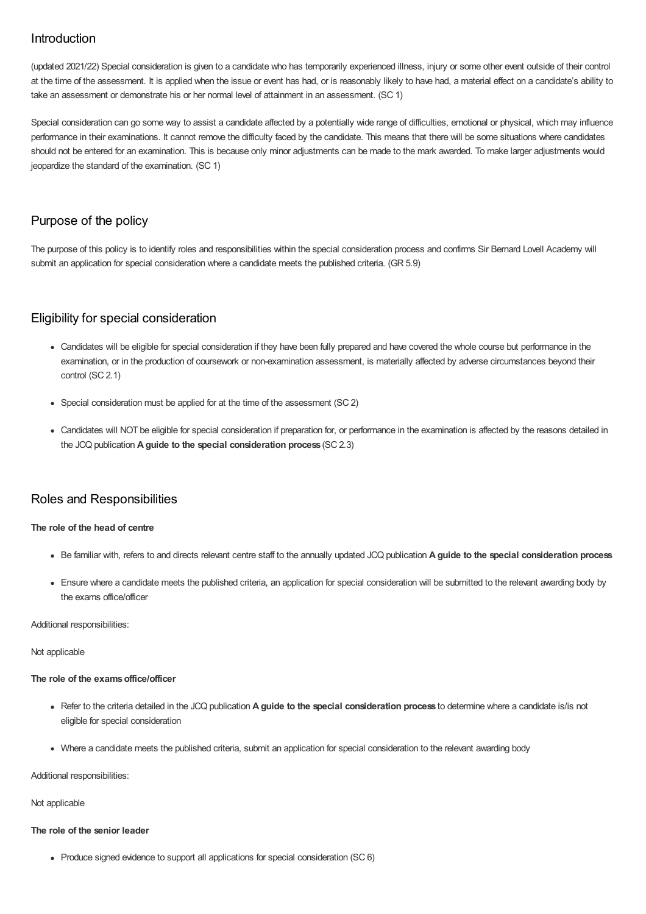# Introduction

(updated 2021/22) Special consideration is given to a candidate who has temporarily experienced illness, injury or some other event outside of their control at the time of the assessment. It is applied when the issue or event has had, or is reasonably likely to have had, a material effect on a candidate's ability to take an assessment or demonstrate his or her normal level of attainment in an assessment. (SC 1)

Special consideration can go some way to assist a candidate affected by a potentially wide range of difficulties, emotional or physical, which may influence performance in their examinations. It cannot remove the difficulty faced by the candidate. This means that there will be some situations where candidates should not be entered for an examination. This is because only minor adjustments can be made to the mark awarded. To make larger adjustments would jeopardize the standard of the examination. (SC 1)

# Purpose of the policy

The purpose of this policy is to identify roles and responsibilities within the special consideration process and confirms Sir Bernard Lovell Academy will submit an application for special consideration where a candidate meets the published criteria. (GR 5.9)

# Eligibility for special consideration

- Candidates will be eligible for special consideration if they have been fully prepared and have covered the whole course but performance in the examination, or in the production of coursework or non-examination assessment, is materially affected by adverse circumstances beyond their control (SC 2.1)
- Special consideration must be applied for at the time of the assessment (SC 2)
- Candidates will NOT be eligible for special consideration if preparation for, or performance in the examination is affected by the reasons detailed in the JCQ publication **A guide to the special consideration process** (SC 2.3)

## Roles and Responsibilities

### **The role of the head of centre**

- Be familiar with, refers to and directs relevant centre staff to the annually updated JCQ publication **A guide to the special consideration process**
- Ensure where a candidate meets the published criteria, an application for special consideration will be submitted to the relevant awarding body by the exams office/officer

### Additional responsibilities:

### Not applicable

### **The role of the examsoffice/officer**

- Refer to the criteria detailed in the JCQ publication **A guide to the special consideration process** to determine where a candidate is/is not eligible for special consideration
- Where a candidate meets the published criteria, submit an application for special consideration to the relevant awarding body

Additional responsibilities:

### Not applicable

### **The role of the senior leader**

• Produce signed evidence to support all applications for special consideration (SC 6)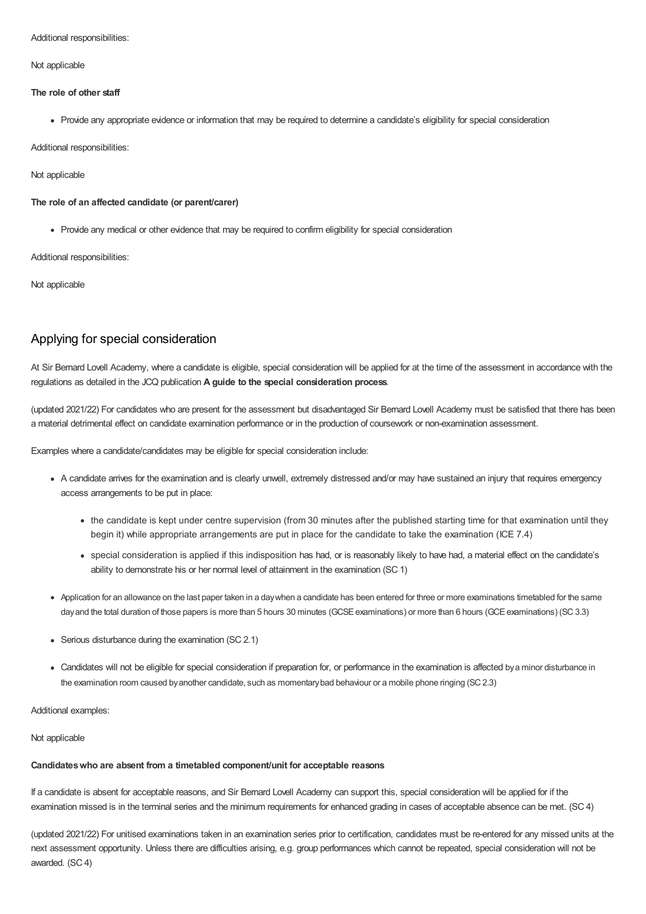Additional responsibilities:

Not applicable

### **The role of other staff**

Provide any appropriate evidence or information that may be required to determine a candidate's eligibility for special consideration

Additional responsibilities:

### Not applicable

### **The role of an affected candidate (or parent/carer)**

Provide any medical or other evidence that may be required to confirm eligibility for special consideration

Additional responsibilities:

Not applicable

# Applying for special consideration

At Sir Bernard Lovell Academy, where a candidate is eligible, special consideration will be applied for at the time of the assessment in accordance with the regulations as detailed in the JCQ publication **A guide to the special consideration process**.

(updated 2021/22) For candidates who are present for the assessment but disadvantaged Sir Bernard Lovell Academy must be satisfied that there has been a material detrimental effect on candidate examination performance or in the production of coursework or non-examination assessment.

Examples where a candidate/candidates may be eligible for special consideration include:

- A candidate arrives for the examination and is clearly unwell, extremely distressed and/or may have sustained an injury that requires emergency access arrangements to be put in place:
	- the candidate is kept under centre supervision (from 30 minutes after the published starting time for that examination until they begin it) while appropriate arrangements are put in place for the candidate to take the examination (ICE 7.4)
	- special consideration is applied if this indisposition has had, or is reasonably likely to have had, a material effect on the candidate's ability to demonstrate his or her normal level of attainment in the examination (SC 1)
- Application for an allowance on the last paper taken in a daywhen a candidate has been entered for three or more examinations timetabled for the same dayand the total duration of those papers is more than 5 hours 30 minutes (GCSE examinations) or more than 6 hours (GCE examinations) (SC 3.3)
- Serious disturbance during the examination (SC 2.1)
- Candidates will not be eligible for special consideration if preparation for, or performance in the examination is affected bya minor disturbance in the examination room caused byanother candidate, such as momentarybad behaviour or a mobile phone ringing (SC2.3)

Additional examples:

#### Not applicable

### **Candidateswho are absent from a timetabled component/unit for acceptable reasons**

If a candidate is absent for acceptable reasons, and Sir Bernard Lovell Academy can support this, special consideration will be applied for if the examination missed is in the terminal series and the minimum requirements for enhanced grading in cases of acceptable absence can be met. (SC 4)

(updated 2021/22) For unitised examinations taken in an examination series prior to certification, candidates must be re-entered for any missed units at the next assessment opportunity. Unless there are difficulties arising, e.g. group performances which cannot be repeated, special consideration will not be awarded. (SC 4)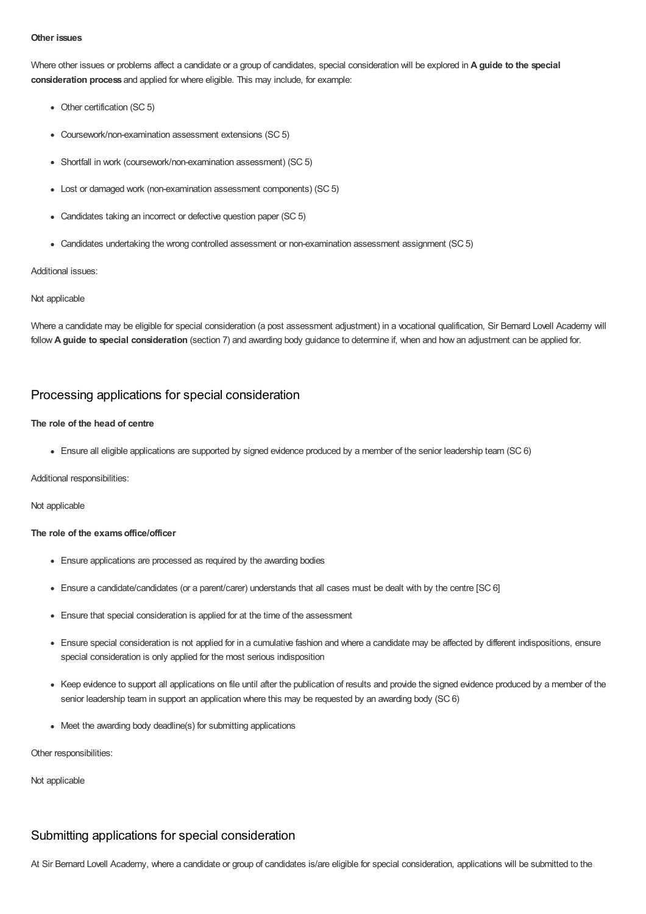### **Other issues**

Where other issues or problems affect a candidate or a group of candidates, special consideration will be explored in **A guide to the special consideration process** and applied for where eligible. This may include, for example:

- Other certification (SC 5)
- Coursework/non-examination assessment extensions (SC 5)
- Shortfall in work (coursework/non-examination assessment) (SC 5)
- Lost or damaged work (non-examination assessment components) (SC 5)
- Candidates taking an incorrect or defective question paper (SC 5)
- Candidates undertaking the wrong controlled assessment or non-examination assessment assignment (SC 5)

### Additional issues:

#### Not applicable

Where a candidate may be eligible for special consideration (a post assessment adjustment) in a vocational qualification, Sir Bernard Lovell Academy will follow **A guide to special consideration** (section 7) and awarding body guidance to determine if, when and how an adjustment can be applied for.

### Processing applications for special consideration

### **The role of the head of centre**

Ensure all eligible applications are supported by signed evidence produced by a member of the senior leadership team (SC 6)

Additional responsibilities:

Not applicable

### **The role of the examsoffice/officer**

- Ensure applications are processed as required by the awarding bodies
- Ensure a candidate/candidates (or a parent/carer) understands that all cases must be dealt with by the centre [SC 6]
- Ensure that special consideration is applied for at the time of the assessment
- Ensure special consideration is not applied for in a cumulative fashion and where a candidate may be affected by different indispositions, ensure special consideration is only applied for the most serious indisposition
- Keep evidence to support all applications on file until after the publication of results and provide the signed evidence produced by a member of the senior leadership team in support an application where this may be requested by an awarding body (SC 6)
- Meet the awarding body deadline(s) for submitting applications

Other responsibilities:

Not applicable

### Submitting applications for special consideration

At Sir Bernard Lovell Academy, where a candidate or group of candidates is/are eligible for special consideration, applications will be submitted to the